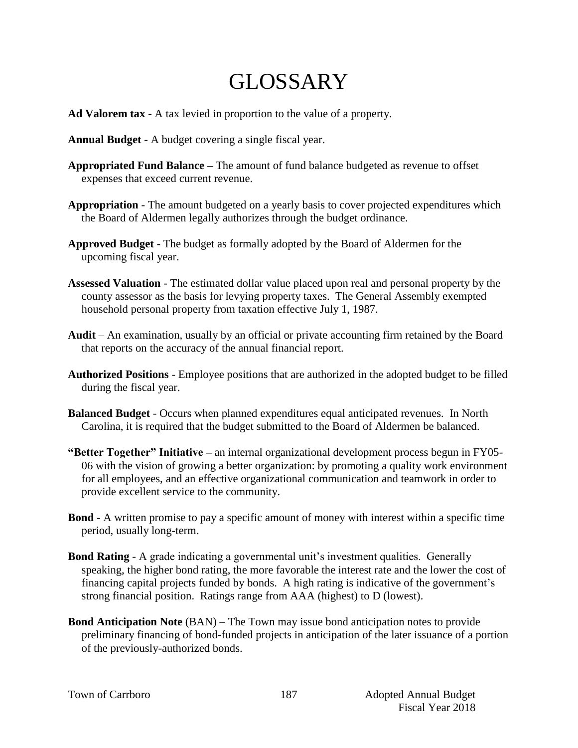## GLOSSARY

- **Ad Valorem tax** A tax levied in proportion to the value of a property.
- **Annual Budget** A budget covering a single fiscal year.
- **Appropriated Fund Balance –** The amount of fund balance budgeted as revenue to offset expenses that exceed current revenue.
- **Appropriation** The amount budgeted on a yearly basis to cover projected expenditures which the Board of Aldermen legally authorizes through the budget ordinance.
- **Approved Budget** The budget as formally adopted by the Board of Aldermen for the upcoming fiscal year.
- **Assessed Valuation** The estimated dollar value placed upon real and personal property by the county assessor as the basis for levying property taxes. The General Assembly exempted household personal property from taxation effective July 1, 1987.
- **Audit** An examination, usually by an official or private accounting firm retained by the Board that reports on the accuracy of the annual financial report.
- **Authorized Positions**  Employee positions that are authorized in the adopted budget to be filled during the fiscal year.
- **Balanced Budget** Occurs when planned expenditures equal anticipated revenues. In North Carolina, it is required that the budget submitted to the Board of Aldermen be balanced.
- **"Better Together" Initiative –** an internal organizational development process begun in FY05- 06 with the vision of growing a better organization: by promoting a quality work environment for all employees, and an effective organizational communication and teamwork in order to provide excellent service to the community.
- **Bond** A written promise to pay a specific amount of money with interest within a specific time period, usually long-term.
- **Bond Rating** A grade indicating a governmental unit's investment qualities. Generally speaking, the higher bond rating, the more favorable the interest rate and the lower the cost of financing capital projects funded by bonds. A high rating is indicative of the government's strong financial position. Ratings range from AAA (highest) to D (lowest).
- **Bond Anticipation Note** (BAN) The Town may issue bond anticipation notes to provide preliminary financing of bond-funded projects in anticipation of the later issuance of a portion of the previously-authorized bonds.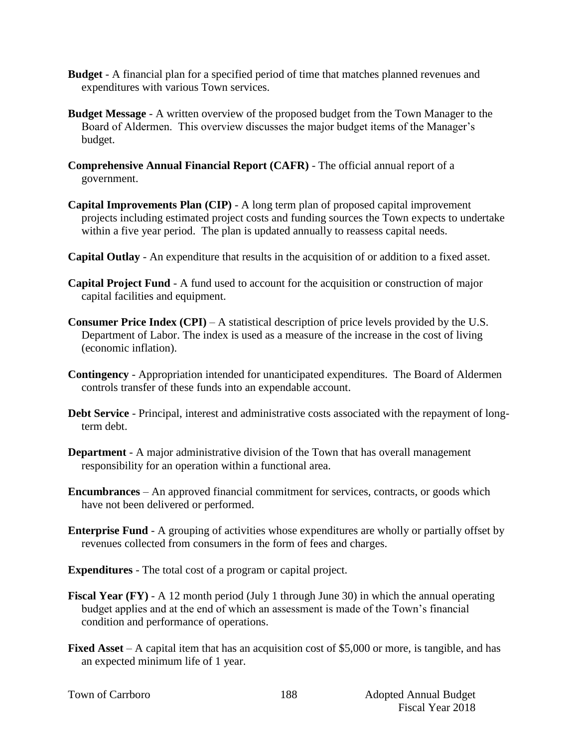- **Budget**  A financial plan for a specified period of time that matches planned revenues and expenditures with various Town services.
- **Budget Message** A written overview of the proposed budget from the Town Manager to the Board of Aldermen. This overview discusses the major budget items of the Manager's budget.
- **Comprehensive Annual Financial Report (CAFR)** The official annual report of a government.
- **Capital Improvements Plan (CIP)** A long term plan of proposed capital improvement projects including estimated project costs and funding sources the Town expects to undertake within a five year period. The plan is updated annually to reassess capital needs.
- **Capital Outlay** An expenditure that results in the acquisition of or addition to a fixed asset.
- **Capital Project Fund** A fund used to account for the acquisition or construction of major capital facilities and equipment.
- **Consumer Price Index (CPI)** A statistical description of price levels provided by the U.S. Department of Labor. The index is used as a measure of the increase in the cost of living (economic inflation).
- **Contingency**  Appropriation intended for unanticipated expenditures. The Board of Aldermen controls transfer of these funds into an expendable account.
- **Debt Service** Principal, interest and administrative costs associated with the repayment of longterm debt.
- **Department** A major administrative division of the Town that has overall management responsibility for an operation within a functional area.
- **Encumbrances**  An approved financial commitment for services, contracts, or goods which have not been delivered or performed.
- **Enterprise Fund** A grouping of activities whose expenditures are wholly or partially offset by revenues collected from consumers in the form of fees and charges.
- **Expenditures** The total cost of a program or capital project.
- **Fiscal Year (FY)** A 12 month period (July 1 through June 30) in which the annual operating budget applies and at the end of which an assessment is made of the Town's financial condition and performance of operations.
- **Fixed Asset** A capital item that has an acquisition cost of \$5,000 or more, is tangible, and has an expected minimum life of 1 year.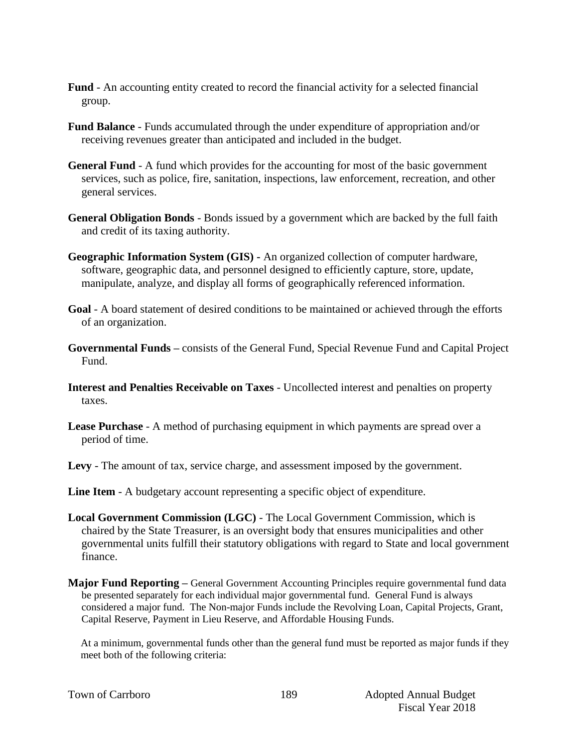- **Fund** An accounting entity created to record the financial activity for a selected financial group.
- **Fund Balance** Funds accumulated through the under expenditure of appropriation and/or receiving revenues greater than anticipated and included in the budget.
- **General Fund** A fund which provides for the accounting for most of the basic government services, such as police, fire, sanitation, inspections, law enforcement, recreation, and other general services.
- **General Obligation Bonds** Bonds issued by a government which are backed by the full faith and credit of its taxing authority.
- **Geographic Information System (GIS) -** An organized collection of computer hardware, software, geographic data, and personnel designed to efficiently capture, store, update, manipulate, analyze, and display all forms of geographically referenced information.
- **Goal** A board statement of desired conditions to be maintained or achieved through the efforts of an organization.
- **Governmental Funds –** consists of the General Fund, Special Revenue Fund and Capital Project Fund.
- **Interest and Penalties Receivable on Taxes** Uncollected interest and penalties on property taxes.
- **Lease Purchase** A method of purchasing equipment in which payments are spread over a period of time.
- **Levy**  The amount of tax, service charge, and assessment imposed by the government.
- **Line Item** A budgetary account representing a specific object of expenditure.
- **Local Government Commission (LGC)**  The Local Government Commission, which is chaired by the State Treasurer, is an oversight body that ensures municipalities and other governmental units fulfill their statutory obligations with regard to State and local government finance.
- **Major Fund Reporting –** General Government Accounting Principles require governmental fund data be presented separately for each individual major governmental fund. General Fund is always considered a major fund. The Non-major Funds include the Revolving Loan, Capital Projects, Grant, Capital Reserve, Payment in Lieu Reserve, and Affordable Housing Funds.

At a minimum, governmental funds other than the general fund must be reported as major funds if they meet both of the following criteria:

|  |  | Town of Carrboro |
|--|--|------------------|
|--|--|------------------|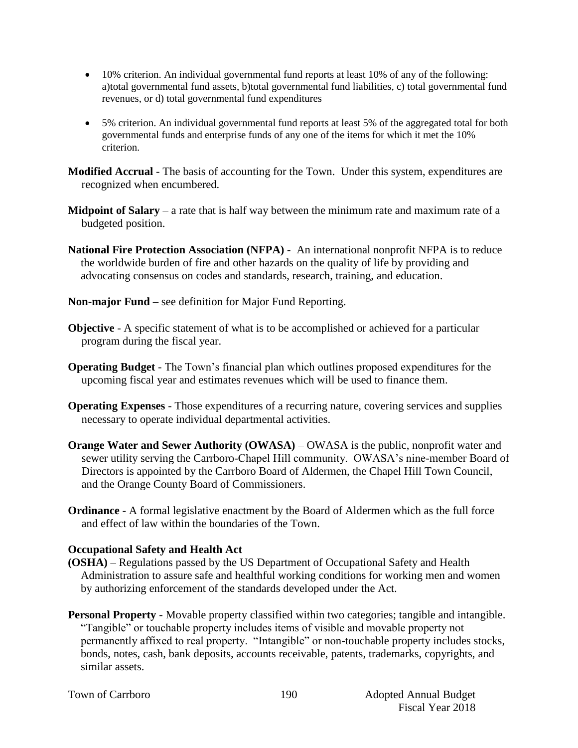- 10% criterion. An individual governmental fund reports at least 10% of any of the following: a)total governmental fund assets, b)total governmental fund liabilities, c) total governmental fund revenues, or d) total governmental fund expenditures
- 5% criterion. An individual governmental fund reports at least 5% of the aggregated total for both governmental funds and enterprise funds of any one of the items for which it met the 10% criterion.

**Modified Accrual** - The basis of accounting for the Town. Under this system, expenditures are recognized when encumbered.

- **Midpoint of Salary** a rate that is half way between the minimum rate and maximum rate of a budgeted position.
- **National Fire Protection Association (NFPA)**  An international nonprofit NFPA is to reduce the worldwide burden of fire and other hazards on the quality of life by providing and advocating consensus on codes and standards, research, training, and education.
- **Non-major Fund –** see definition for Major Fund Reporting.
- **Objective** A specific statement of what is to be accomplished or achieved for a particular program during the fiscal year.
- **Operating Budget** The Town's financial plan which outlines proposed expenditures for the upcoming fiscal year and estimates revenues which will be used to finance them.
- **Operating Expenses** Those expenditures of a recurring nature, covering services and supplies necessary to operate individual departmental activities.
- **Orange Water and Sewer Authority (OWASA)** OWASA is the public, nonprofit water and sewer utility serving the Carrboro-Chapel Hill community. OWASA's nine-member Board of Directors is appointed by the Carrboro Board of Aldermen, the Chapel Hill Town Council, and the Orange County Board of Commissioners.
- **Ordinance** A formal legislative enactment by the Board of Aldermen which as the full force and effect of law within the boundaries of the Town.

## **Occupational Safety and Health Act**

- **(OSHA)** Regulations passed by the US Department of Occupational Safety and Health Administration to assure safe and healthful working conditions for working men and women by authorizing enforcement of the standards developed under the Act.
- **Personal Property** Movable property classified within two categories; tangible and intangible. "Tangible" or touchable property includes items of visible and movable property not permanently affixed to real property. "Intangible" or non-touchable property includes stocks, bonds, notes, cash, bank deposits, accounts receivable, patents, trademarks, copyrights, and similar assets.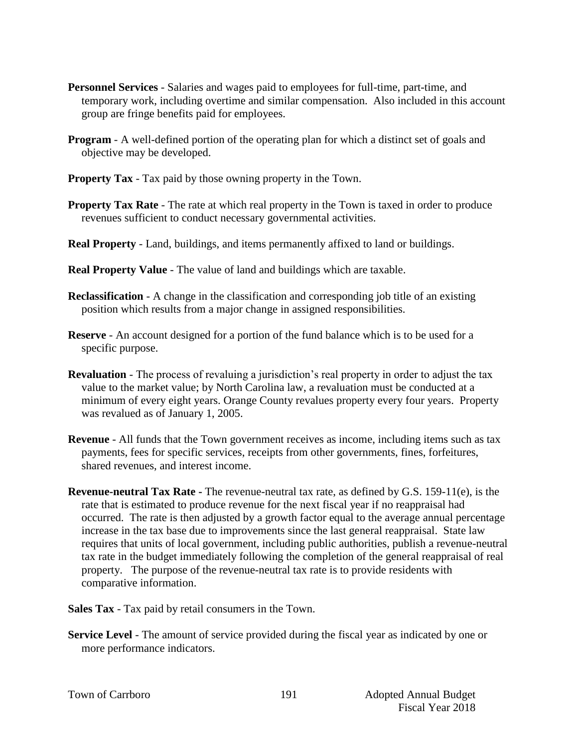- **Personnel Services** Salaries and wages paid to employees for full-time, part-time, and temporary work, including overtime and similar compensation. Also included in this account group are fringe benefits paid for employees.
- **Program** A well-defined portion of the operating plan for which a distinct set of goals and objective may be developed.
- **Property Tax** Tax paid by those owning property in the Town.
- **Property Tax Rate** The rate at which real property in the Town is taxed in order to produce revenues sufficient to conduct necessary governmental activities.
- **Real Property** Land, buildings, and items permanently affixed to land or buildings.
- **Real Property Value** The value of land and buildings which are taxable.
- **Reclassification** A change in the classification and corresponding job title of an existing position which results from a major change in assigned responsibilities.
- **Reserve** An account designed for a portion of the fund balance which is to be used for a specific purpose.
- **Revaluation**  The process of revaluing a jurisdiction's real property in order to adjust the tax value to the market value; by North Carolina law, a revaluation must be conducted at a minimum of every eight years. Orange County revalues property every four years. Property was revalued as of January 1, 2005.
- **Revenue**  All funds that the Town government receives as income, including items such as tax payments, fees for specific services, receipts from other governments, fines, forfeitures, shared revenues, and interest income.
- **Revenue-neutral Tax Rate -** The revenue-neutral tax rate, as defined by G.S. 159-11(e), is the rate that is estimated to produce revenue for the next fiscal year if no reappraisal had occurred. The rate is then adjusted by a growth factor equal to the average annual percentage increase in the tax base due to improvements since the last general reappraisal. State law requires that units of local government, including public authorities, publish a revenue-neutral tax rate in the budget immediately following the completion of the general reappraisal of real property. The purpose of the revenue-neutral tax rate is to provide residents with comparative information.
- **Sales Tax** Tax paid by retail consumers in the Town.
- **Service Level** The amount of service provided during the fiscal year as indicated by one or more performance indicators.